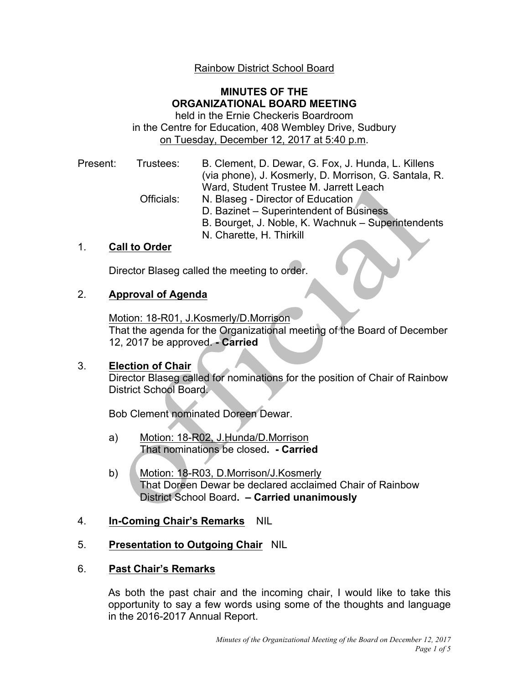# Rainbow District School Board

## **MINUTES OF THE ORGANIZATIONAL BOARD MEETING**

 in the Centre for Education, 408 Wembley Drive, Sudbury held in the Ernie Checkeris Boardroom on Tuesday, December 12, 2017 at 5:40 p.m.

| Present: | Trustees:  | B. Clement, D. Dewar, G. Fox, J. Hunda, L. Killens    |
|----------|------------|-------------------------------------------------------|
|          |            | (via phone), J. Kosmerly, D. Morrison, G. Santala, R. |
|          |            | Ward, Student Trustee M. Jarrett Leach                |
|          | Officials: | N. Blaseg - Director of Education                     |
|          |            | D. Bazinet – Superintendent of Business               |
|          |            | B. Bourget, J. Noble, K. Wachnuk - Superintendents    |
|          |            | N. Charette, H. Thirkill                              |

## 1. **Call to Order**

Director Blaseg called the meeting to order.

## 2. **Approval of Agenda**

 That the agenda for the Organizational meeting of the Board of December 12, 2017 be approved. **- Carried**  Motion: 18-R01, J.Kosmerly/D.Morrison

## 3. **Election of Chair**

 Director Blaseg called for nominations for the position of Chair of Rainbow District School Board.

Bob Clement nominated Doreen Dewar.

- a) Motion: 18-R02, J.Hunda/D.Morrison That nominations be closed**. - Carried**
- That Doreen Dewar be declared acclaimed Chair of Rainbow District School Board**. – Carried unanimously**  b) Motion: 18-R03, D.Morrison/J.Kosmerly

## 4. **In-Coming Chair's Remarks** NIL

# 5. **Presentation to Outgoing Chair** NIL

## 6. **Past Chair's Remarks**

 As both the past chair and the incoming chair, I would like to take this opportunity to say a few words using some of the thoughts and language in the 2016-2017 Annual Report.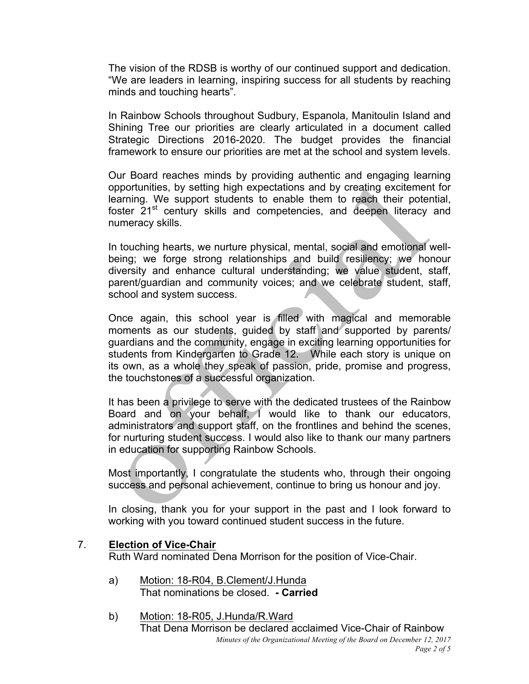The vision of the RDSB is worthy of our continued support and dedication. "We are leaders in learning, inspiring success for all students by reaching minds and touching hearts".

 In Rainbow Schools throughout Sudbury, Espanola, Manitoulin Island and Shining Tree our priorities are clearly articulated in a document called Strategic Directions 2016-2020. The budget provides the financial framework to ensure our priorities are met at the school and system levels.

 Our Board reaches minds by providing authentic and engaging learning opportunities, by setting high expectations and by creating excitement for learning. We support students to enable them to reach their potential, foster 21<sup>st</sup> century skills and competencies, and deepen literacy and numeracy skills.

 In touching hearts, we nurture physical, mental, social and emotional well- being; we forge strong relationships and build resiliency; we honour diversity and enhance cultural understanding; we value student, staff, parent/guardian and community voices; and we celebrate student, staff, school and system success.

 Once again, this school year is filled with magical and memorable moments as our students, guided by staff and supported by parents/ guardians and the community, engage in exciting learning opportunities for students from Kindergarten to Grade 12. While each story is unique on its own, as a whole they speak of passion, pride, promise and progress, the touchstones of a successful organization.

 It has been a privilege to serve with the dedicated trustees of the Rainbow Board and on your behalf, I would like to thank our educators, administrators and support staff, on the frontlines and behind the scenes, for nurturing student success. I would also like to thank our many partners in education for supporting Rainbow Schools.

 Most importantly, I congratulate the students who, through their ongoing success and personal achievement, continue to bring us honour and joy.

 In closing, thank you for your support in the past and I look forward to working with you toward continued student success in the future.

## 7. **Election of Vice-Chair**

Ruth Ward nominated Dena Morrison for the position of Vice-Chair.

- a) Motion: 18-R04, B.Clement/J.Hunda That nominations be closed. **- Carried**
- b) Motion: 18-R05, J.Hunda/R.Ward That Dena Morrison be declared acclaimed Vice-Chair of Rainbow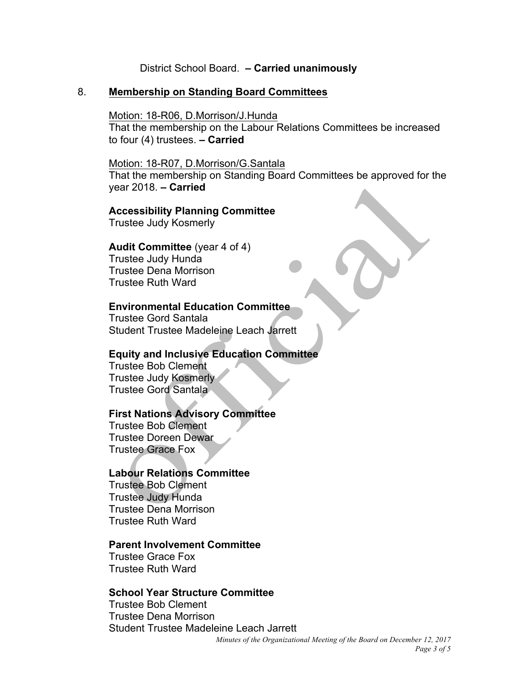### District School Board. **– Carried unanimously**

### 8. **Membership on Standing Board Committees**

### Motion: 18-R06, D.Morrison/J.Hunda

 to four (4) trustees. **– Carried**  That the membership on the Labour Relations Committees be increased

#### Motion: 18-R07, D.Morrison/G.Santala

 year 2018. **– Carried**  That the membership on Standing Board Committees be approved for the

### **Accessibility Planning Committee**

Trustee Judy Kosmerly

#### **Audit Committee** (year 4 of 4)

Trustee Judy Hunda Trustee Dena Morrison Trustee Ruth Ward

#### **Environmental Education Committee**

Trustee Gord Santala Student Trustee Madeleine Leach Jarrett

### **Equity and Inclusive Education Committee**

Trustee Bob Clement Trustee Judy Kosmerly  $\overline{\phantom{a}}$ Trustee Gord Santala ł

### **First Nations Advisory Committee**

Trustee Bob Clement Trustee Doreen Dewar Trustee Grace Fox

### **Labour Relations Committee**

Trustee Bob Clement Trustee Judy Hunda Trustee Dena Morrison Trustee Ruth Ward

#### **Parent Involvement Committee**

Trustee Grace Fox Trustee Ruth Ward

### **School Year Structure Committee**

Trustee Bob Clement Trustee Dena Morrison Student Trustee Madeleine Leach Jarrett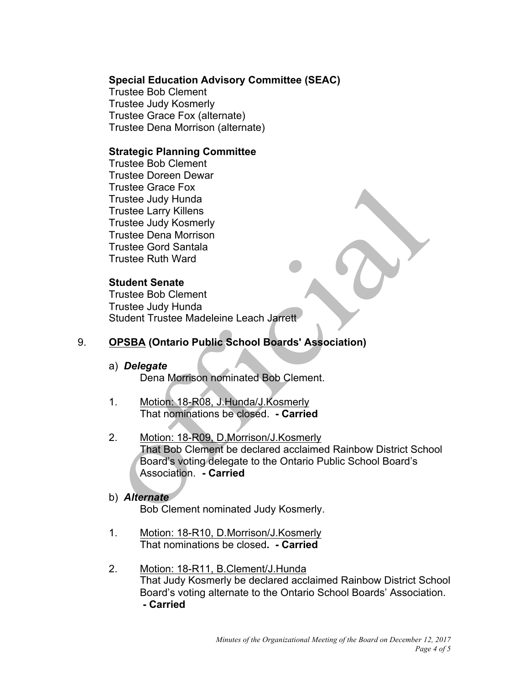## **Special Education Advisory Committee (SEAC)**

Trustee Bob Clement Trustee Judy Kosmerly Trustee Grace Fox (alternate) Trustee Dena Morrison (alternate)

## **Strategic Planning Committee**

Trustee Bob Clement Trustee Doreen Dewar Trustee Grace Fox Trustee Judy Hunda Trustee Larry Killens Trustee Judy Kosmerly Trustee Dena Morrison Trustee Gord Santala Trustee Ruth Ward

## **Student Senate**

Trustee Bob Clement Trustee Judy Hunda Student Trustee Madeleine Leach Jarrett

# 9. **OPSBA (Ontario Public School Boards' Association)**

### a) *Delegate*

Dena Morrison nominated Bob Clement.

- 1. Motion: 18-R08, J.Hunda/J.Kosmerly That nominations be closed. **- Carried**
- That Bob Clement be declared acclaimed Rainbow District School Board's voting delegate to the Ontario Public School Board's Association. **- Carried**  2. Motion: 18-R09, D.Morrison/J.Kosmerly

## b) *Alternate*

Bob Clement nominated Judy Kosmerly.

- 1. Motion: 18-R10, D.Morrison/J.Kosmerly That nominations be closed**. - Carried**
- That Judy Kosmerly be declared acclaimed Rainbow District School Board's voting alternate to the Ontario School Boards' Association.  **- Carried**  2. Motion: 18-R11, B.Clement/J.Hunda